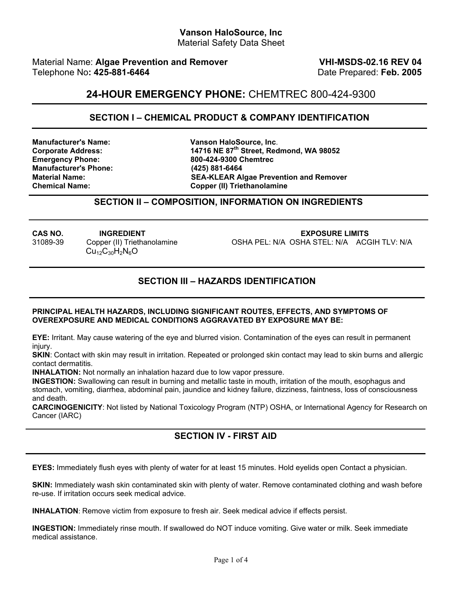#### **Vanson HaloSource, Inc**  Material Safety Data Sheet

Material Name: Algae Prevention and Remover **VHI-MSDS-02.16 REV 04** Telephone No: 425-881-6464 **Date Prepared: Feb. 2005 Date Prepared: Feb. 2005** 

## **24-HOUR EMERGENCY PHONE:** CHEMTREC 800-424-9300

#### **SECTION I – CHEMICAL PRODUCT & COMPANY IDENTIFICATION**

**Emergency Phone: 800-424-9300 Chemtrec Manufacturer's Phone: (425) 881-6464** 

**Manufacturer's Name: Vanson HaloSource, Inc**. **Corporate Address: 14716 NE 87th Street, Redmond, WA 98052 SEA-KLEAR Algae Prevention and Remover Chemical Name: Copper (II) Triethanolamine**

#### **SECTION II – COMPOSITION, INFORMATION ON INGREDIENTS**

 $Cu_{12}C_{30}H_{2}N_{6}O$ 

**CAS NO. INGREDIENT EXPOSURE LIMITS**  31089-39 Copper (II) Triethanolamine OSHA PEL: N/A OSHA STEL: N/A ACGIH TLV: N/A

#### **SECTION III – HAZARDS IDENTIFICATION**

#### **PRINCIPAL HEALTH HAZARDS, INCLUDING SIGNIFICANT ROUTES, EFFECTS, AND SYMPTOMS OF OVEREXPOSURE AND MEDICAL CONDITIONS AGGRAVATED BY EXPOSURE MAY BE:**

**EYE:** Irritant. May cause watering of the eye and blurred vision. Contamination of the eyes can result in permanent injury.

**SKIN**: Contact with skin may result in irritation. Repeated or prolonged skin contact may lead to skin burns and allergic contact dermatitis.

**INHALATION:** Not normally an inhalation hazard due to low vapor pressure.

**INGESTION:** Swallowing can result in burning and metallic taste in mouth, irritation of the mouth, esophagus and stomach, vomiting, diarrhea, abdominal pain, jaundice and kidney failure, dizziness, faintness, loss of consciousness and death.

**CARCINOGENICITY**: Not listed by National Toxicology Program (NTP) OSHA, or International Agency for Research on Cancer (IARC)

### **SECTION IV - FIRST AID**

**EYES:** Immediately flush eyes with plenty of water for at least 15 minutes. Hold eyelids open Contact a physician.

**SKIN:** Immediately wash skin contaminated skin with plenty of water. Remove contaminated clothing and wash before re-use. If irritation occurs seek medical advice.

**INHALATION**: Remove victim from exposure to fresh air. Seek medical advice if effects persist.

**INGESTION:** Immediately rinse mouth. If swallowed do NOT induce vomiting. Give water or milk. Seek immediate medical assistance.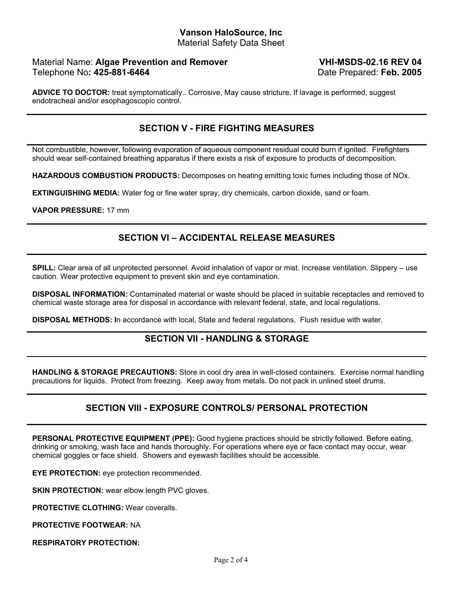#### **Vanson HaloSource, Inc**  Material Safety Data Sheet

### Material Name: **Algae Prevention and Remover** Telephone No: 425-881-6464 **by Telephone No: 425-881-6464 Date Prepared: Feb. 2005**

**VHI-MSDS-02.16 REV 04**

**ADVICE TO DOCTOR:** treat symptomatically.. Corrosive, May cause stricture. If lavage is performed, suggest endotracheal and/or esophagoscopic control.

## **SECTION V - FIRE FIGHTING MEASURES**

Not combustible, however, following evaporation of aqueous component residual could burn if ignited. Firefighters should wear self-contained breathing apparatus if there exists a risk of exposure to products of decomposition.

**HAZARDOUS COMBUSTION PRODUCTS:** Decomposes on heating emitting toxic fumes including those of NOx.

**EXTINGUISHING MEDIA:** Water fog or fine water spray, dry chemicals, carbon dioxide, sand or foam.

**VAPOR PRESSURE:** 17 mm

## **SECTION VI – ACCIDENTAL RELEASE MEASURES**

**SPILL:** Clear area of all unprotected personnel. Avoid inhalation of vapor or mist. Increase ventilation. Slippery – use caution. Wear protective equipment to prevent skin and eye contamination.

**DISPOSAL INFORMATION:** Contaminated material or waste should be placed in suitable receptacles and removed to chemical waste storage area for disposal in accordance with relevant federal, state, and local regulations.

**DISPOSAL METHODS: I**n accordance with local, State and federal regulations. Flush residue with water.

### **SECTION VII - HANDLING & STORAGE**

**HANDLING & STORAGE PRECAUTIONS:** Store in cool dry area in well-closed containers. Exercise normal handling precautions for liquids. Protect from freezing. Keep away from metals. Do not pack in unlined steel drums.

## **SECTION VIII - EXPOSURE CONTROLS/ PERSONAL PROTECTION**

**PERSONAL PROTECTIVE EQUIPMENT (PPE):** Good hygiene practices should be strictly followed. Before eating, drinking or smoking, wash face and hands thoroughly. For operations where eye or face contact may occur, wear chemical goggles or face shield. Showers and eyewash facilities should be accessible.

**EYE PROTECTION:** eye protection recommended.

**SKIN PROTECTION:** wear elbow length PVC gloves.

**PROTECTIVE CLOTHING:** Wear coveralls.

**PROTECTIVE FOOTWEAR:** NA

**RESPIRATORY PROTECTION:**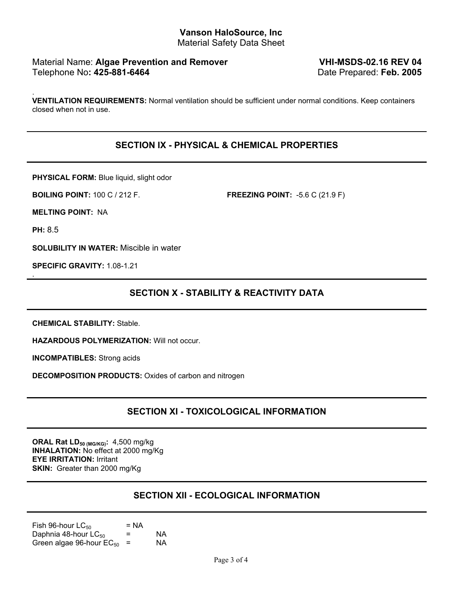#### **Vanson HaloSource, Inc**  Material Safety Data Sheet

### Material Name: Algae Prevention and Remover **VHI-MSDS-02.16 REV 04** Telephone No: 425-881-6464 **by Telephone No: 425-881-6464 Date Prepared: Feb. 2005**

. **VENTILATION REQUIREMENTS:** Normal ventilation should be sufficient under normal conditions. Keep containers closed when not in use.

## **SECTION IX - PHYSICAL & CHEMICAL PROPERTIES**

**PHYSICAL FORM:** Blue liquid, slight odor

**BOILING POINT:** 100 C / 212 F. **FREEZING POINT:** -5.6 C (21.9 F)

**MELTING POINT:** NA

**PH:** 8.5

.

**SOLUBILITY IN WATER:** Miscible in water

**SPECIFIC GRAVITY:** 1.08-1.21

## **SECTION X - STABILITY & REACTIVITY DATA**

**CHEMICAL STABILITY:** Stable.

**HAZARDOUS POLYMERIZATION:** Will not occur.

**INCOMPATIBLES:** Strong acids

**DECOMPOSITION PRODUCTS:** Oxides of carbon and nitrogen

## **SECTION XI - TOXICOLOGICAL INFORMATION**

**ORAL Rat LD<sub>50 (MG/KG)</sub>: 4,500 mg/kg INHALATION:** No effect at 2000 mg/Kg **EYE IRRITATION:** Irritant **SKIN:** Greater than 2000 mg/Kg

## **SECTION XII - ECOLOGICAL INFORMATION**

Fish 96-hour  $LC_{50}$  = NA<br>Daphnia 48-hour  $LC_{50}$  = Daphnia 48-hour  $LC_{50}$  = NA<br>Green algae 96-hour  $EC_{50}$  = NA Green algae 96-hour  $EC_{50}$  =